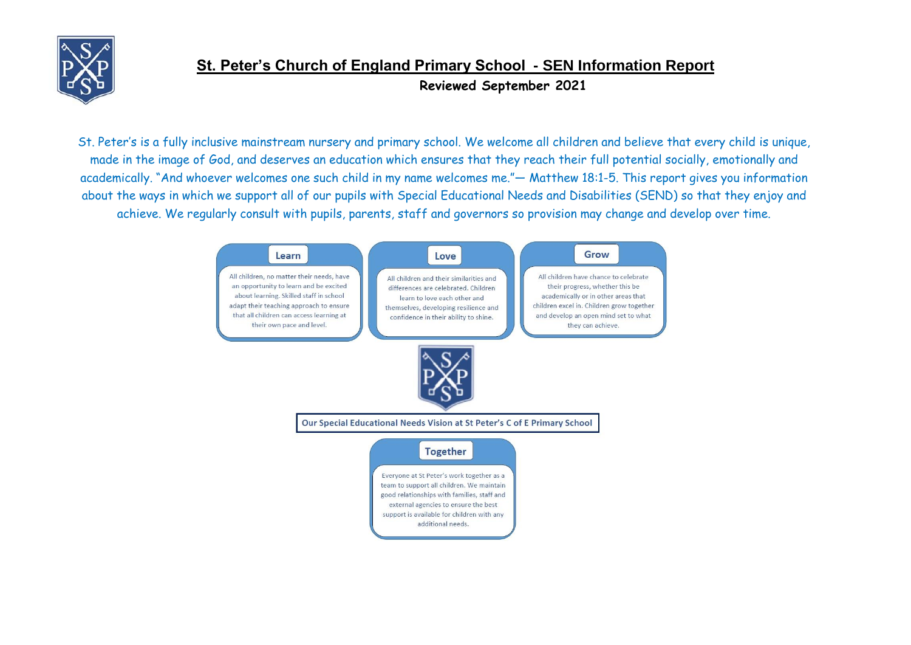

St. Peter's is a fully inclusive mainstream nursery and primary school. We welcome all children and believe that every child is unique, made in the image of God, and deserves an education which ensures that they reach their full potential socially, emotionally and academically. "And whoever welcomes one such child in my name welcomes me."— Matthew 18:1-5. This report gives you information about the ways in which we support all of our pupils with Special Educational Needs and Disabilities (SEND) so that they enjoy and achieve. We regularly consult with pupils, parents, staff and governors so provision may change and develop over time.

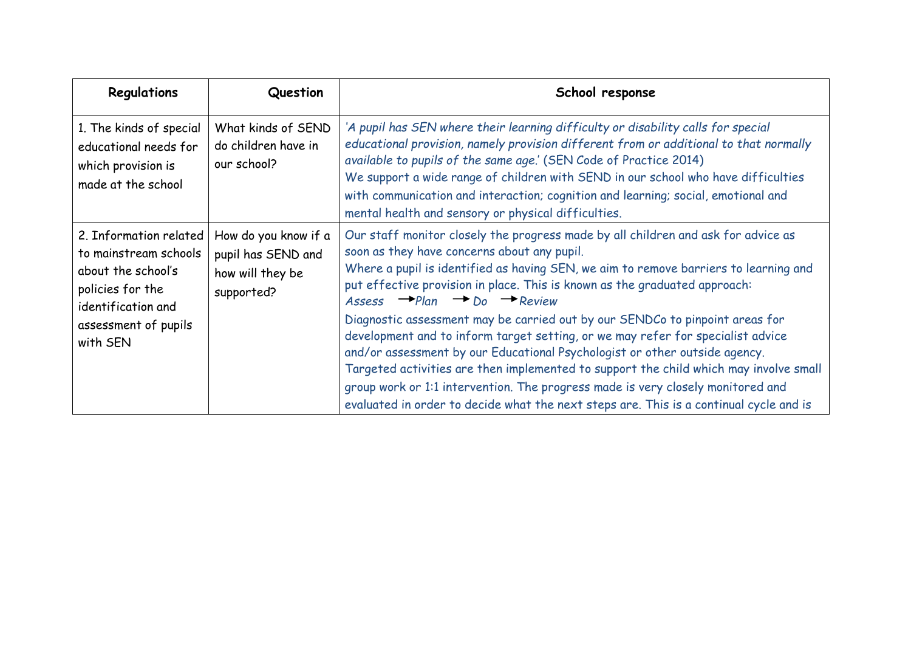| Regulations                                                                                                     | Question                                                                     | School response                                                                                                                                                                                                                                                                                                                                                                                                                                                                                                     |
|-----------------------------------------------------------------------------------------------------------------|------------------------------------------------------------------------------|---------------------------------------------------------------------------------------------------------------------------------------------------------------------------------------------------------------------------------------------------------------------------------------------------------------------------------------------------------------------------------------------------------------------------------------------------------------------------------------------------------------------|
| 1. The kinds of special<br>educational needs for<br>which provision is<br>made at the school                    | What kinds of SEND<br>do children have in<br>our school?                     | 'A pupil has SEN where their learning difficulty or disability calls for special<br>educational provision, namely provision different from or additional to that normally<br>available to pupils of the same age.' (SEN Code of Practice 2014)<br>We support a wide range of children with SEND in our school who have difficulties<br>with communication and interaction; cognition and learning; social, emotional and<br>mental health and sensory or physical difficulties.                                     |
| 2. Information related<br>to mainstream schools<br>about the school's<br>policies for the<br>identification and | How do you know if a<br>pupil has SEND and<br>how will they be<br>supported? | Our staff monitor closely the progress made by all children and ask for advice as<br>soon as they have concerns about any pupil.<br>Where a pupil is identified as having SEN, we aim to remove barriers to learning and<br>put effective provision in place. This is known as the graduated approach:<br>Assess $\rightarrow$ Plan $\rightarrow$ Do $\rightarrow$ Review                                                                                                                                           |
| assessment of pupils<br>with SEN                                                                                |                                                                              | Diagnostic assessment may be carried out by our SENDCo to pinpoint areas for<br>development and to inform target setting, or we may refer for specialist advice<br>and/or assessment by our Educational Psychologist or other outside agency.<br>Targeted activities are then implemented to support the child which may involve small<br>group work or 1:1 intervention. The progress made is very closely monitored and<br>evaluated in order to decide what the next steps are. This is a continual cycle and is |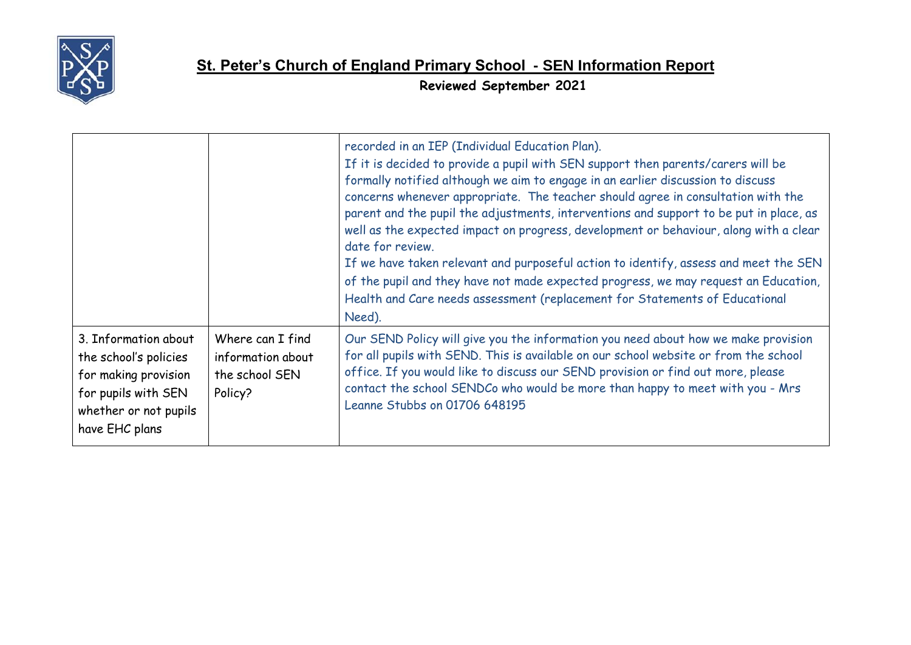

### **St. Peter's Church of England Primary School - SEN Information Report**

**Reviewed September 2021**

|                                                                                                                                         |                                                                    | recorded in an IEP (Individual Education Plan).<br>If it is decided to provide a pupil with SEN support then parents/carers will be<br>formally notified although we aim to engage in an earlier discussion to discuss<br>concerns whenever appropriate. The teacher should agree in consultation with the<br>parent and the pupil the adjustments, interventions and support to be put in place, as<br>well as the expected impact on progress, development or behaviour, along with a clear<br>date for review.<br>If we have taken relevant and purposeful action to identify, assess and meet the SEN<br>of the pupil and they have not made expected progress, we may request an Education,<br>Health and Care needs assessment (replacement for Statements of Educational<br>Need). |
|-----------------------------------------------------------------------------------------------------------------------------------------|--------------------------------------------------------------------|-------------------------------------------------------------------------------------------------------------------------------------------------------------------------------------------------------------------------------------------------------------------------------------------------------------------------------------------------------------------------------------------------------------------------------------------------------------------------------------------------------------------------------------------------------------------------------------------------------------------------------------------------------------------------------------------------------------------------------------------------------------------------------------------|
| 3. Information about<br>the school's policies<br>for making provision<br>for pupils with SEN<br>whether or not pupils<br>have EHC plans | Where can I find<br>information about<br>the school SEN<br>Policy? | Our SEND Policy will give you the information you need about how we make provision<br>for all pupils with SEND. This is available on our school website or from the school<br>office. If you would like to discuss our SEND provision or find out more, please<br>contact the school SENDCo who would be more than happy to meet with you - Mrs<br>Leanne Stubbs on 01706 648195                                                                                                                                                                                                                                                                                                                                                                                                          |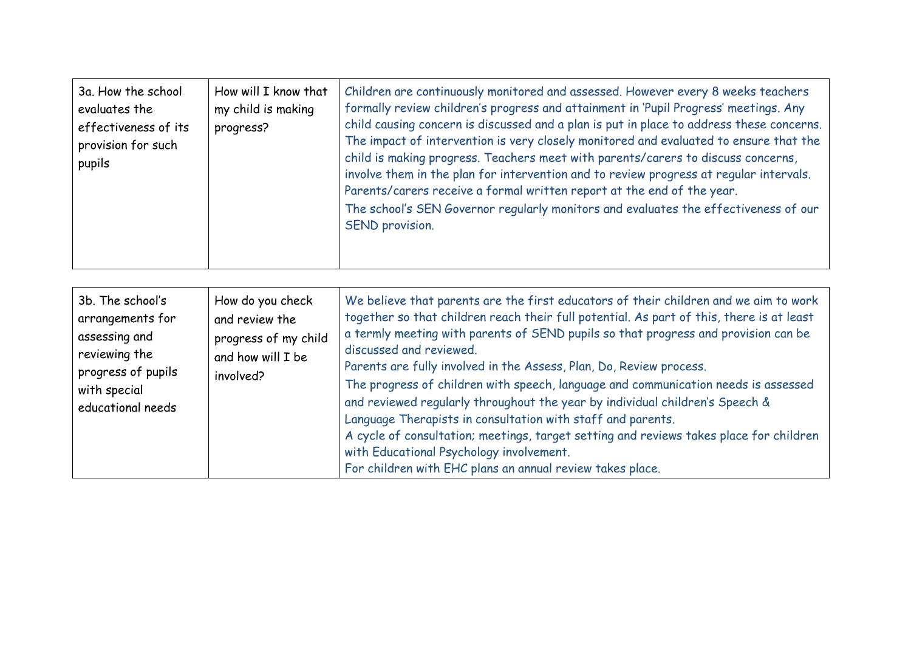| How will I know that<br>3a. How the school<br>my child is making<br>evaluates the<br>effectiveness of its<br>progress?<br>provision for such<br>pupils | Children are continuously monitored and assessed. However every 8 weeks teachers<br>formally review children's progress and attainment in 'Pupil Progress' meetings. Any<br>child causing concern is discussed and a plan is put in place to address these concerns.<br>The impact of intervention is very closely monitored and evaluated to ensure that the<br>child is making progress. Teachers meet with parents/carers to discuss concerns,<br>involve them in the plan for intervention and to review progress at regular intervals.<br>Parents/carers receive a formal written report at the end of the year.<br>The school's SEN Governor regularly monitors and evaluates the effectiveness of our<br>SEND provision. |
|--------------------------------------------------------------------------------------------------------------------------------------------------------|---------------------------------------------------------------------------------------------------------------------------------------------------------------------------------------------------------------------------------------------------------------------------------------------------------------------------------------------------------------------------------------------------------------------------------------------------------------------------------------------------------------------------------------------------------------------------------------------------------------------------------------------------------------------------------------------------------------------------------|
|--------------------------------------------------------------------------------------------------------------------------------------------------------|---------------------------------------------------------------------------------------------------------------------------------------------------------------------------------------------------------------------------------------------------------------------------------------------------------------------------------------------------------------------------------------------------------------------------------------------------------------------------------------------------------------------------------------------------------------------------------------------------------------------------------------------------------------------------------------------------------------------------------|

| 3b. The school's<br>arrangements for<br>assessing and<br>reviewing the<br>progress of pupils<br>with special<br>educational needs | How do you check<br>and review the<br>progress of my child<br>and how will I be<br>involved? | We believe that parents are the first educators of their children and we aim to work<br>together so that children reach their full potential. As part of this, there is at least<br>a termly meeting with parents of SEND pupils so that progress and provision can be<br>discussed and reviewed.<br>Parents are fully involved in the Assess, Plan, Do, Review process.<br>The progress of children with speech, language and communication needs is assessed<br>and reviewed regularly throughout the year by individual children's Speech &<br>Language Therapists in consultation with staff and parents.<br>A cycle of consultation; meetings, target setting and reviews takes place for children<br>with Educational Psychology involvement.<br>For children with EHC plans an annual review takes place. |
|-----------------------------------------------------------------------------------------------------------------------------------|----------------------------------------------------------------------------------------------|------------------------------------------------------------------------------------------------------------------------------------------------------------------------------------------------------------------------------------------------------------------------------------------------------------------------------------------------------------------------------------------------------------------------------------------------------------------------------------------------------------------------------------------------------------------------------------------------------------------------------------------------------------------------------------------------------------------------------------------------------------------------------------------------------------------|
|-----------------------------------------------------------------------------------------------------------------------------------|----------------------------------------------------------------------------------------------|------------------------------------------------------------------------------------------------------------------------------------------------------------------------------------------------------------------------------------------------------------------------------------------------------------------------------------------------------------------------------------------------------------------------------------------------------------------------------------------------------------------------------------------------------------------------------------------------------------------------------------------------------------------------------------------------------------------------------------------------------------------------------------------------------------------|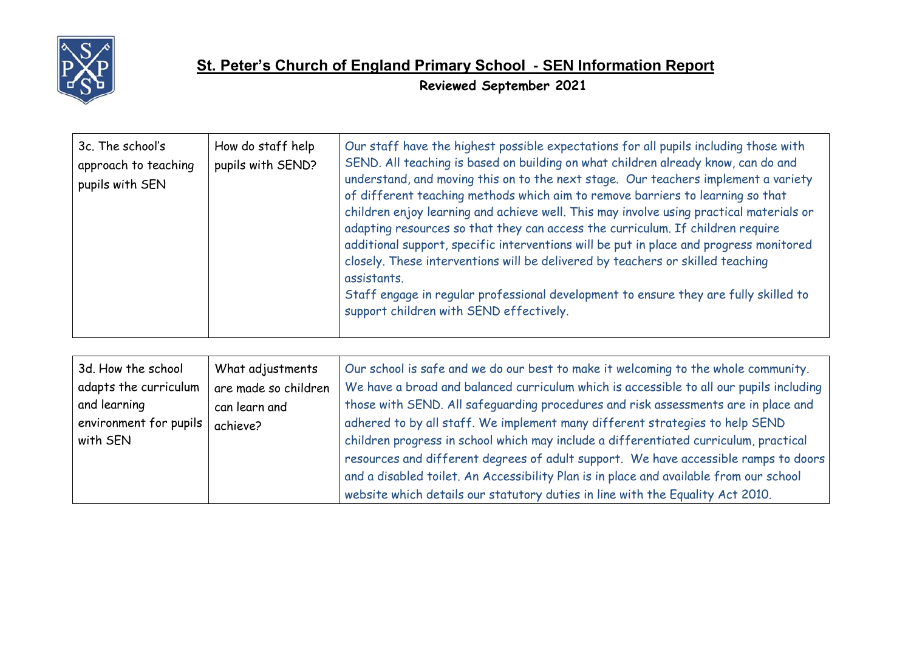

| 3c. The school's<br>approach to teaching<br>pupils with SEN | How do staff help<br>pupils with SEND? | Our staff have the highest possible expectations for all pupils including those with<br>SEND. All teaching is based on building on what children already know, can do and<br>understand, and moving this on to the next stage. Our teachers implement a variety<br>of different teaching methods which aim to remove barriers to learning so that<br>children enjoy learning and achieve well. This may involve using practical materials or<br>adapting resources so that they can access the curriculum. If children require<br>additional support, specific interventions will be put in place and progress monitored<br>closely. These interventions will be delivered by teachers or skilled teaching<br>assistants.<br>Staff engage in regular professional development to ensure they are fully skilled to<br>support children with SEND effectively. |
|-------------------------------------------------------------|----------------------------------------|--------------------------------------------------------------------------------------------------------------------------------------------------------------------------------------------------------------------------------------------------------------------------------------------------------------------------------------------------------------------------------------------------------------------------------------------------------------------------------------------------------------------------------------------------------------------------------------------------------------------------------------------------------------------------------------------------------------------------------------------------------------------------------------------------------------------------------------------------------------|
|-------------------------------------------------------------|----------------------------------------|--------------------------------------------------------------------------------------------------------------------------------------------------------------------------------------------------------------------------------------------------------------------------------------------------------------------------------------------------------------------------------------------------------------------------------------------------------------------------------------------------------------------------------------------------------------------------------------------------------------------------------------------------------------------------------------------------------------------------------------------------------------------------------------------------------------------------------------------------------------|

| 3d. How the school     | What adjustments     | Our school is safe and we do our best to make it welcoming to the whole community.      |
|------------------------|----------------------|-----------------------------------------------------------------------------------------|
| adapts the curriculum  | are made so children | We have a broad and balanced curriculum which is accessible to all our pupils including |
| and learning           | can learn and        | those with SEND. All safeguarding procedures and risk assessments are in place and      |
| environment for pupils | achieve?             | adhered to by all staff. We implement many different strategies to help SEND            |
| with SEN               |                      | children progress in school which may include a differentiated curriculum, practical    |
|                        |                      | resources and different degrees of adult support. We have accessible ramps to doors     |
|                        |                      | and a disabled toilet. An Accessibility Plan is in place and available from our school  |
|                        |                      | website which details our statutory duties in line with the Equality Act 2010.          |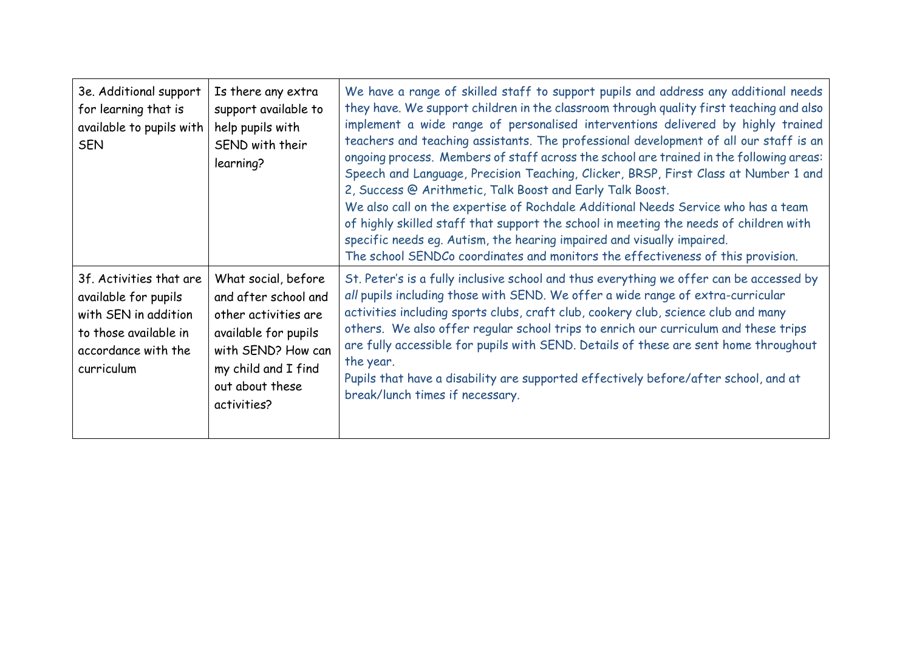| 3e. Additional support<br>for learning that is<br>available to pupils with<br><b>SEN</b>                                              | Is there any extra<br>support available to<br>help pupils with<br>SEND with their<br>learning?                                                                             | We have a range of skilled staff to support pupils and address any additional needs<br>they have. We support children in the classroom through quality first teaching and also<br>implement a wide range of personalised interventions delivered by highly trained<br>teachers and teaching assistants. The professional development of all our staff is an<br>ongoing process. Members of staff across the school are trained in the following areas:<br>Speech and Language, Precision Teaching, Clicker, BRSP, First Class at Number 1 and<br>2, Success @ Arithmetic, Talk Boost and Early Talk Boost.<br>We also call on the expertise of Rochdale Additional Needs Service who has a team<br>of highly skilled staff that support the school in meeting the needs of children with<br>specific needs eq. Autism, the hearing impaired and visually impaired.<br>The school SENDCo coordinates and monitors the effectiveness of this provision. |
|---------------------------------------------------------------------------------------------------------------------------------------|----------------------------------------------------------------------------------------------------------------------------------------------------------------------------|-------------------------------------------------------------------------------------------------------------------------------------------------------------------------------------------------------------------------------------------------------------------------------------------------------------------------------------------------------------------------------------------------------------------------------------------------------------------------------------------------------------------------------------------------------------------------------------------------------------------------------------------------------------------------------------------------------------------------------------------------------------------------------------------------------------------------------------------------------------------------------------------------------------------------------------------------------|
| 3f. Activities that are<br>available for pupils<br>with SEN in addition<br>to those available in<br>accordance with the<br>curriculum | What social, before<br>and after school and<br>other activities are<br>available for pupils<br>with SEND? How can<br>my child and I find<br>out about these<br>activities? | St. Peter's is a fully inclusive school and thus everything we offer can be accessed by<br>all pupils including those with SEND. We offer a wide range of extra-curricular<br>activities including sports clubs, craft club, cookery club, science club and many<br>others. We also offer regular school trips to enrich our curriculum and these trips<br>are fully accessible for pupils with SEND. Details of these are sent home throughout<br>the year.<br>Pupils that have a disability are supported effectively before/after school, and at<br>break/lunch times if necessary.                                                                                                                                                                                                                                                                                                                                                                |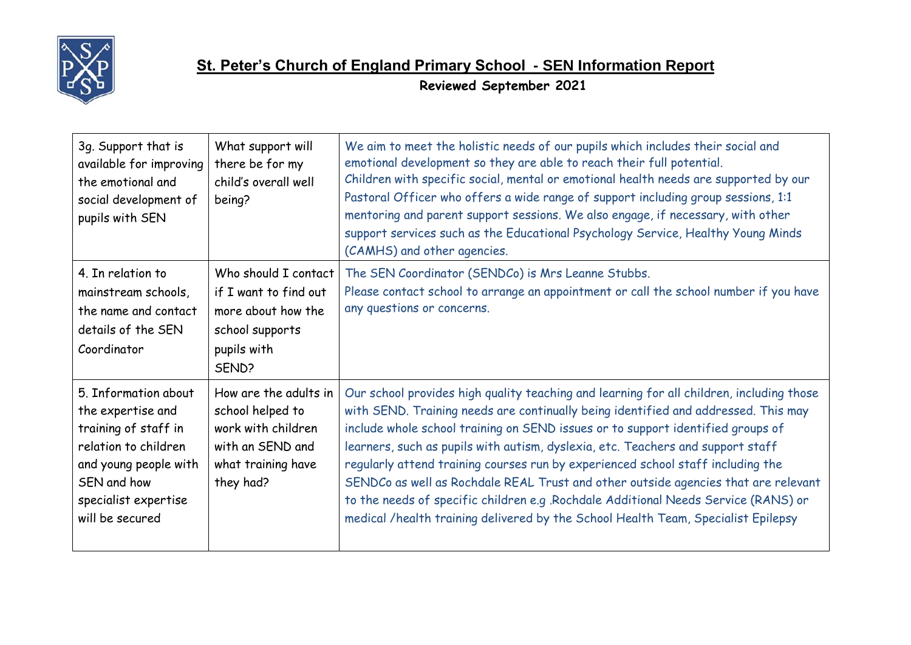

| 3g. Support that is<br>available for improving<br>the emotional and<br>social development of<br>pupils with SEN                                                              | What support will<br>there be for my<br>child's overall well<br>being?                                                 | We aim to meet the holistic needs of our pupils which includes their social and<br>emotional development so they are able to reach their full potential.<br>Children with specific social, mental or emotional health needs are supported by our<br>Pastoral Officer who offers a wide range of support including group sessions, 1:1<br>mentoring and parent support sessions. We also engage, if necessary, with other<br>support services such as the Educational Psychology Service, Healthy Young Minds<br>(CAMHS) and other agencies.                                                                                                                                                              |
|------------------------------------------------------------------------------------------------------------------------------------------------------------------------------|------------------------------------------------------------------------------------------------------------------------|----------------------------------------------------------------------------------------------------------------------------------------------------------------------------------------------------------------------------------------------------------------------------------------------------------------------------------------------------------------------------------------------------------------------------------------------------------------------------------------------------------------------------------------------------------------------------------------------------------------------------------------------------------------------------------------------------------|
| 4. In relation to<br>mainstream schools,<br>the name and contact<br>details of the SEN<br>Coordinator                                                                        | Who should I contact<br>if I want to find out<br>more about how the<br>school supports<br>pupils with<br>SEND?         | The SEN Coordinator (SENDCo) is Mrs Leanne Stubbs.<br>Please contact school to arrange an appointment or call the school number if you have<br>any questions or concerns.                                                                                                                                                                                                                                                                                                                                                                                                                                                                                                                                |
| 5. Information about<br>the expertise and<br>training of staff in<br>relation to children<br>and young people with<br>SEN and how<br>specialist expertise<br>will be secured | How are the adults in<br>school helped to<br>work with children<br>with an SEND and<br>what training have<br>they had? | Our school provides high quality teaching and learning for all children, including those<br>with SEND. Training needs are continually being identified and addressed. This may<br>include whole school training on SEND issues or to support identified groups of<br>learners, such as pupils with autism, dyslexia, etc. Teachers and support staff<br>regularly attend training courses run by experienced school staff including the<br>SENDCo as well as Rochdale REAL Trust and other outside agencies that are relevant<br>to the needs of specific children e.g .Rochdale Additional Needs Service (RANS) or<br>medical /health training delivered by the School Health Team, Specialist Epilepsy |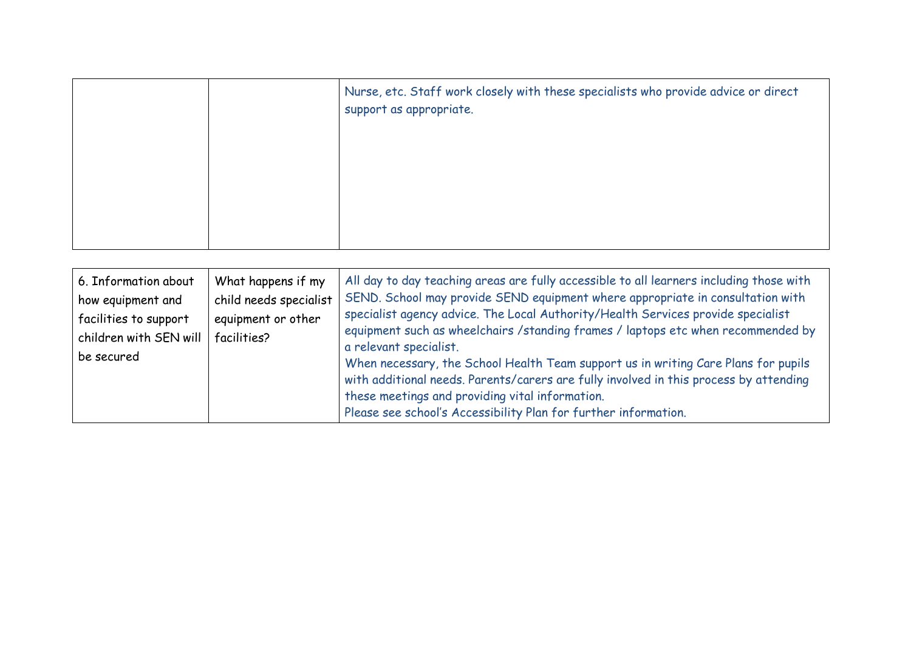|  | Nurse, etc. Staff work closely with these specialists who provide advice or direct<br>support as appropriate. |
|--|---------------------------------------------------------------------------------------------------------------|
|  |                                                                                                               |

| 6. Information about<br>how equipment and<br>facilities to support<br>children with SEN will<br>be secured | What happens if my<br>child needs specialist<br>equipment or other<br>facilities? | All day to day teaching areas are fully accessible to all learners including those with<br>SEND. School may provide SEND equipment where appropriate in consultation with<br>specialist agency advice. The Local Authority/Health Services provide specialist<br>equipment such as wheelchairs / standing frames / laptops etc when recommended by<br>a relevant specialist.<br>When necessary, the School Health Team support us in writing Care Plans for pupils<br>with additional needs. Parents/carers are fully involved in this process by attending<br>these meetings and providing vital information.<br>Please see school's Accessibility Plan for further information. |
|------------------------------------------------------------------------------------------------------------|-----------------------------------------------------------------------------------|-----------------------------------------------------------------------------------------------------------------------------------------------------------------------------------------------------------------------------------------------------------------------------------------------------------------------------------------------------------------------------------------------------------------------------------------------------------------------------------------------------------------------------------------------------------------------------------------------------------------------------------------------------------------------------------|
|------------------------------------------------------------------------------------------------------------|-----------------------------------------------------------------------------------|-----------------------------------------------------------------------------------------------------------------------------------------------------------------------------------------------------------------------------------------------------------------------------------------------------------------------------------------------------------------------------------------------------------------------------------------------------------------------------------------------------------------------------------------------------------------------------------------------------------------------------------------------------------------------------------|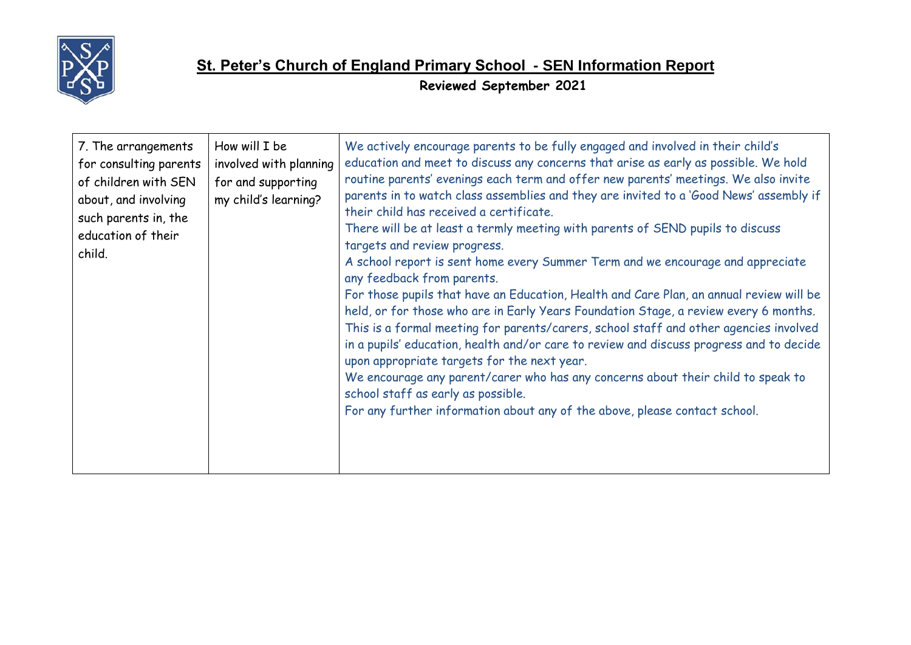

# **St. Peter's Church of England Primary School - SEN Information Report**

**Reviewed September 2021**

| How will I be<br>7. The arrangements<br>for consulting parents<br>involved with planning<br>for and supporting<br>of children with SEN<br>my child's learning?<br>about, and involving<br>such parents in, the<br>education of their<br>child. | We actively encourage parents to be fully engaged and involved in their child's<br>education and meet to discuss any concerns that arise as early as possible. We hold<br>routine parents' evenings each term and offer new parents' meetings. We also invite<br>parents in to watch class assemblies and they are invited to a 'Good News' assembly if<br>their child has received a certificate.<br>There will be at least a termly meeting with parents of SEND pupils to discuss<br>targets and review progress.<br>A school report is sent home every Summer Term and we encourage and appreciate<br>any feedback from parents.<br>For those pupils that have an Education, Health and Care Plan, an annual review will be<br>held, or for those who are in Early Years Foundation Stage, a review every 6 months.<br>This is a formal meeting for parents/carers, school staff and other agencies involved<br>in a pupils' education, health and/or care to review and discuss progress and to decide<br>upon appropriate targets for the next year.<br>We encourage any parent/carer who has any concerns about their child to speak to<br>school staff as early as possible.<br>For any further information about any of the above, please contact school. |
|------------------------------------------------------------------------------------------------------------------------------------------------------------------------------------------------------------------------------------------------|--------------------------------------------------------------------------------------------------------------------------------------------------------------------------------------------------------------------------------------------------------------------------------------------------------------------------------------------------------------------------------------------------------------------------------------------------------------------------------------------------------------------------------------------------------------------------------------------------------------------------------------------------------------------------------------------------------------------------------------------------------------------------------------------------------------------------------------------------------------------------------------------------------------------------------------------------------------------------------------------------------------------------------------------------------------------------------------------------------------------------------------------------------------------------------------------------------------------------------------------------------------------|
|------------------------------------------------------------------------------------------------------------------------------------------------------------------------------------------------------------------------------------------------|--------------------------------------------------------------------------------------------------------------------------------------------------------------------------------------------------------------------------------------------------------------------------------------------------------------------------------------------------------------------------------------------------------------------------------------------------------------------------------------------------------------------------------------------------------------------------------------------------------------------------------------------------------------------------------------------------------------------------------------------------------------------------------------------------------------------------------------------------------------------------------------------------------------------------------------------------------------------------------------------------------------------------------------------------------------------------------------------------------------------------------------------------------------------------------------------------------------------------------------------------------------------|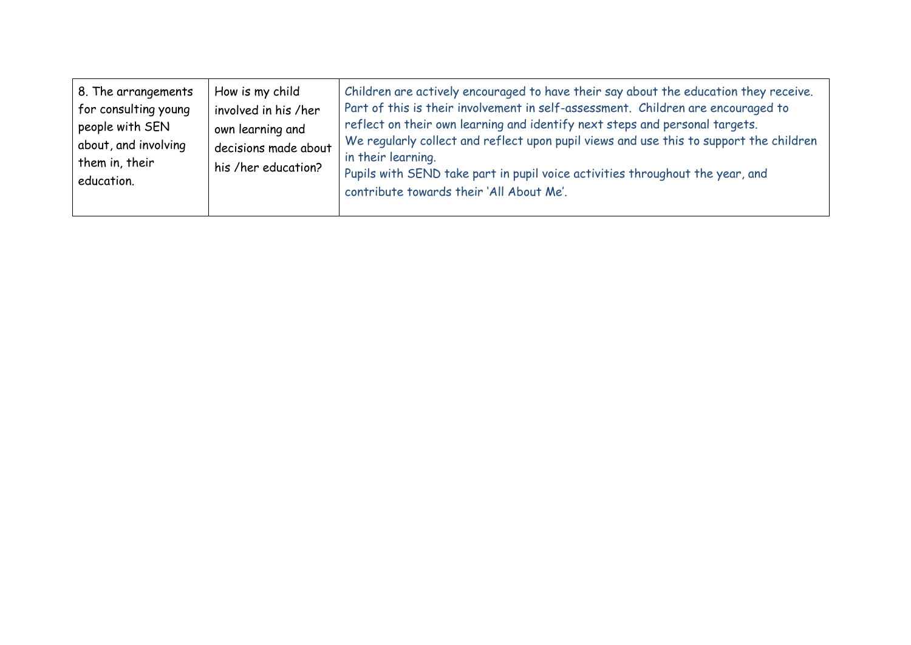| 8. The arrangements<br>for consulting young<br>people with SEN<br>about, and involving<br>them in, their<br>education. |
|------------------------------------------------------------------------------------------------------------------------|
|------------------------------------------------------------------------------------------------------------------------|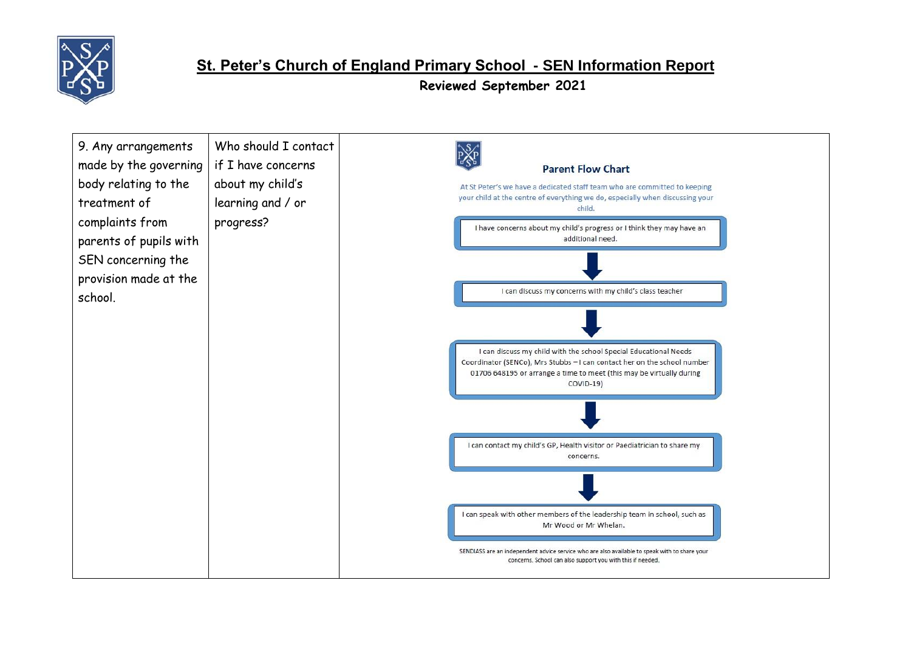

#### **St. Peter's Church of England Primary School - SEN Information Report**

**Reviewed September 2021**

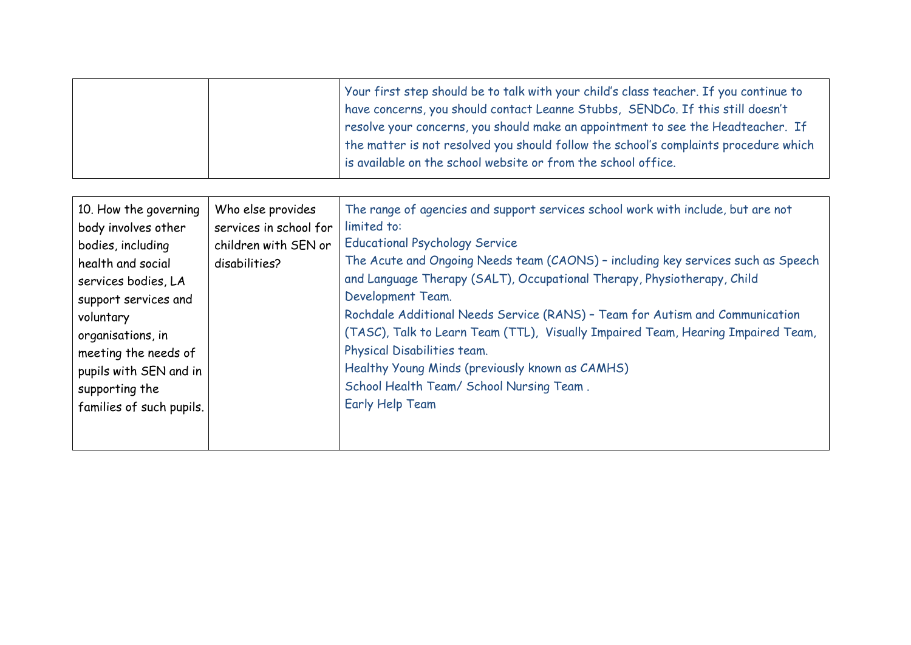| Your first step should be to talk with your child's class teacher. If you continue to<br>have concerns, you should contact Leanne Stubbs, SENDCo. If this still doesn't<br>resolve your concerns, you should make an appointment to see the Headteacher. If<br>the matter is not resolved you should follow the school's complaints procedure which |
|-----------------------------------------------------------------------------------------------------------------------------------------------------------------------------------------------------------------------------------------------------------------------------------------------------------------------------------------------------|
| is available on the school website or from the school office.                                                                                                                                                                                                                                                                                       |

| 10. How the governing<br>body involves other<br>bodies, including<br>health and social<br>services bodies, LA<br>support services and<br>voluntary<br>organisations, in<br>meeting the needs of<br>pupils with SEN and in<br>supporting the<br>families of such pupils. | Who else provides<br>services in school for<br>children with SEN or<br>disabilities? | The range of agencies and support services school work with include, but are not<br>limited to:<br><b>Educational Psychology Service</b><br>The Acute and Ongoing Needs team (CAONS) - including key services such as Speech<br>and Language Therapy (SALT), Occupational Therapy, Physiotherapy, Child<br>Development Team.<br>Rochdale Additional Needs Service (RANS) - Team for Autism and Communication<br>(TASC), Talk to Learn Team (TTL), Visually Impaired Team, Hearing Impaired Team,<br>Physical Disabilities team.<br>Healthy Young Minds (previously known as CAMHS)<br>School Health Team/ School Nursing Team.<br><b>Early Help Team</b> |
|-------------------------------------------------------------------------------------------------------------------------------------------------------------------------------------------------------------------------------------------------------------------------|--------------------------------------------------------------------------------------|----------------------------------------------------------------------------------------------------------------------------------------------------------------------------------------------------------------------------------------------------------------------------------------------------------------------------------------------------------------------------------------------------------------------------------------------------------------------------------------------------------------------------------------------------------------------------------------------------------------------------------------------------------|
|-------------------------------------------------------------------------------------------------------------------------------------------------------------------------------------------------------------------------------------------------------------------------|--------------------------------------------------------------------------------------|----------------------------------------------------------------------------------------------------------------------------------------------------------------------------------------------------------------------------------------------------------------------------------------------------------------------------------------------------------------------------------------------------------------------------------------------------------------------------------------------------------------------------------------------------------------------------------------------------------------------------------------------------------|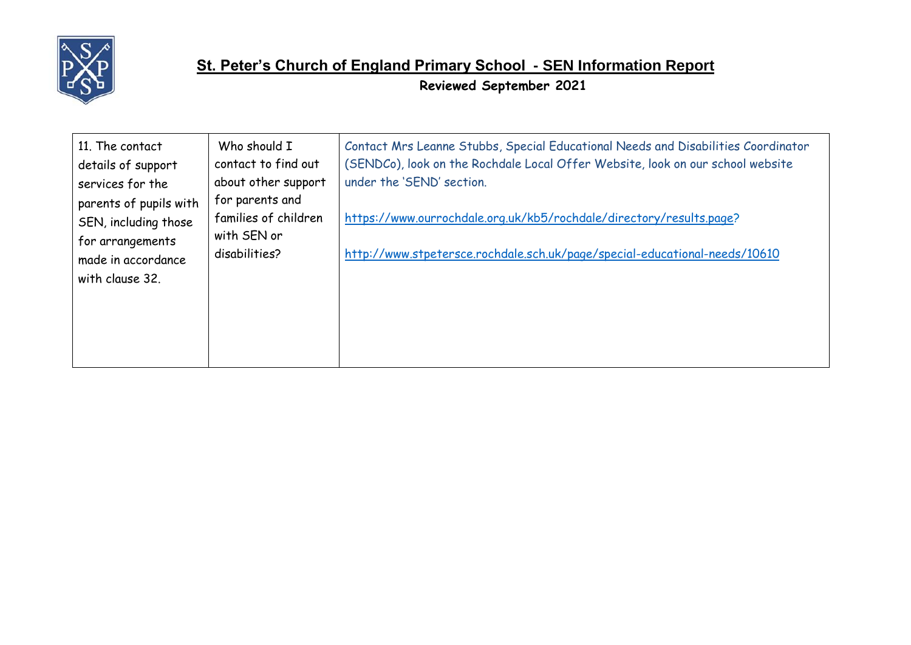

| 11. The contact<br>details of support<br>services for the<br>parents of pupils with<br>SEN, including those<br>for arrangements<br>made in accordance<br>with clause 32. | Who should I<br>contact to find out<br>about other support              | Contact Mrs Leanne Stubbs, Special Educational Needs and Disabilities Coordinator<br>(SENDCo), look on the Rochdale Local Offer Website, look on our school website<br>under the 'SEND' section. |
|--------------------------------------------------------------------------------------------------------------------------------------------------------------------------|-------------------------------------------------------------------------|--------------------------------------------------------------------------------------------------------------------------------------------------------------------------------------------------|
|                                                                                                                                                                          | for parents and<br>families of children<br>with SEN or<br>disabilities? | https://www.ourrochdale.org.uk/kb5/rochdale/directory/results.page?<br>http://www.stpetersce.rochdale.sch.uk/page/special-educational-needs/10610                                                |
|                                                                                                                                                                          |                                                                         |                                                                                                                                                                                                  |